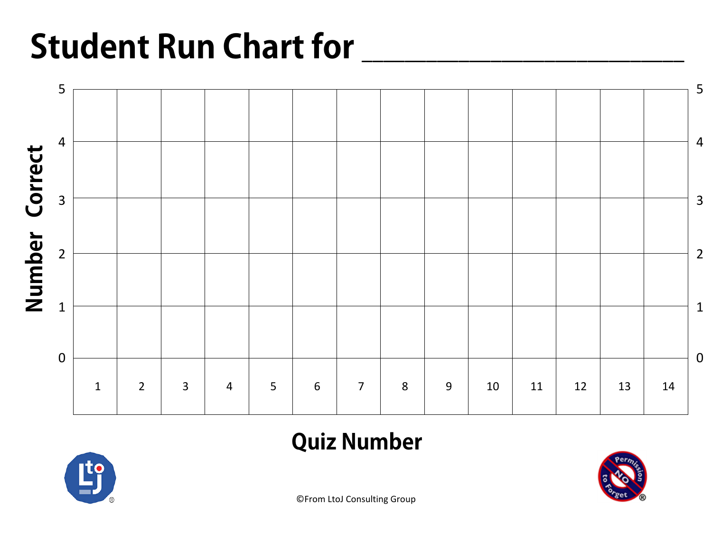# **Student Run Chart for**



### **Quiz Number**



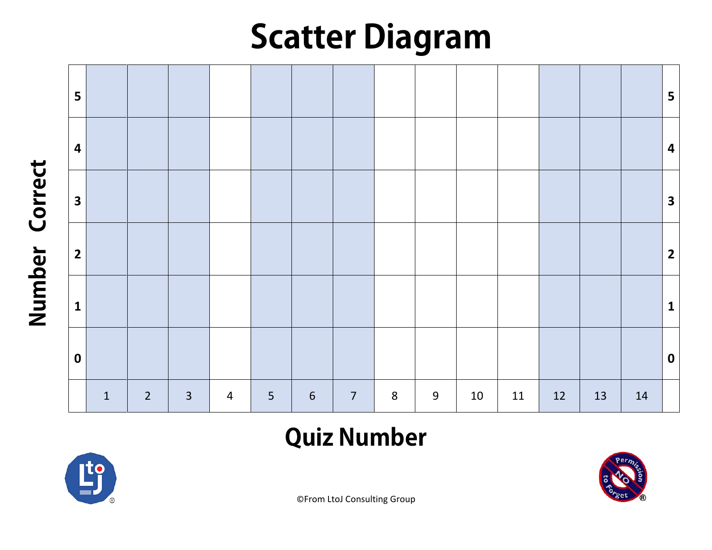## **Scatter Diagram**



### **Quiz Number**



Number Correct **Number Correct**

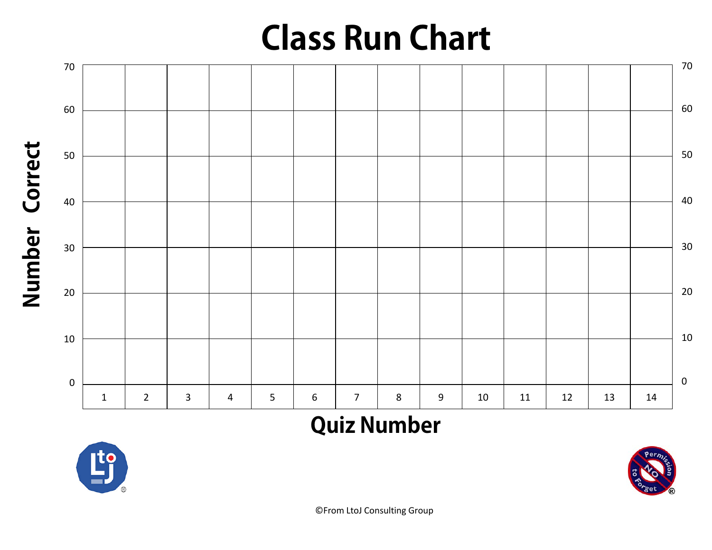## **Class Run Chart**



### **Quiz Number**



**Number Correct**

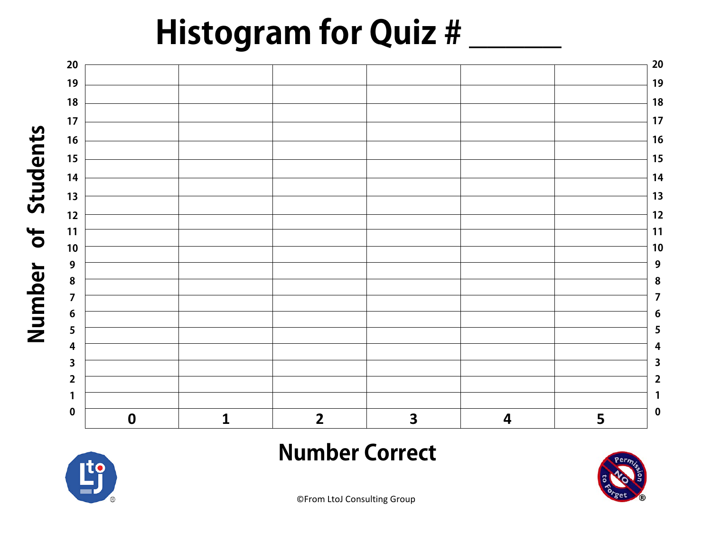## **Histogram for Quiz #**





**Number of Students**

#### **Number Correct**